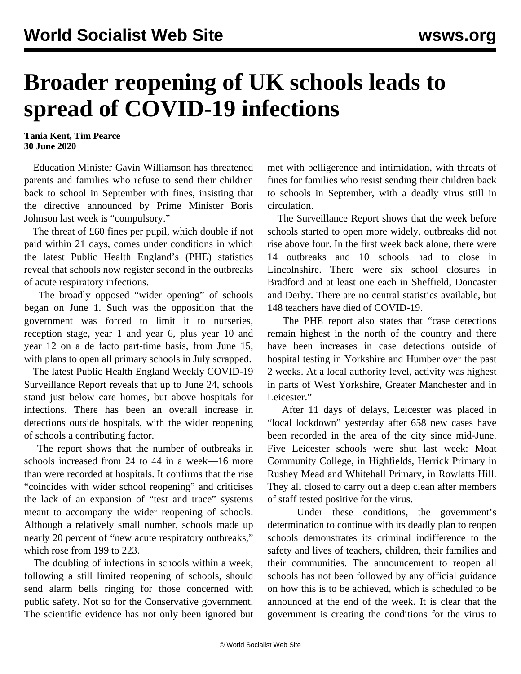## **Broader reopening of UK schools leads to spread of COVID-19 infections**

**Tania Kent, Tim Pearce 30 June 2020**

 Education Minister Gavin Williamson has threatened parents and families who refuse to send their children back to school in September with fines, insisting that the directive announced by Prime Minister Boris Johnson last week is "compulsory."

 The threat of £60 fines per pupil, which double if not paid within 21 days, comes under conditions in which the latest Public Health England's (PHE) statistics reveal that schools now register second in the outbreaks of acute respiratory infections.

 The broadly opposed "wider opening" of schools began on June 1. Such was the opposition that the government was forced to limit it to nurseries, reception stage, year 1 and year 6, plus year 10 and year 12 on a de facto part-time basis, from June 15, with plans to open all primary schools in July scrapped.

 The latest Public Health England Weekly COVID-19 Surveillance Report reveals that up to June 24, schools stand just below care homes, but above hospitals for infections. There has been an overall increase in detections outside hospitals, with the wider reopening of schools a contributing factor.

 The report shows that the number of outbreaks in schools increased from 24 to 44 in a week—16 more than were recorded at hospitals. It confirms that the rise "coincides with wider school reopening" and criticises the lack of an expansion of "test and trace" systems meant to accompany the wider reopening of schools. Although a relatively small number, schools made up nearly 20 percent of "new acute respiratory outbreaks," which rose from 199 to 223.

 The doubling of infections in schools within a week, following a still limited reopening of schools, should send alarm bells ringing for those concerned with public safety. Not so for the Conservative government. The scientific evidence has not only been ignored but met with belligerence and intimidation, with threats of fines for families who resist sending their children back to schools in September, with a deadly virus still in circulation.

 The Surveillance Report shows that the week before schools started to open more widely, outbreaks did not rise above four. In the first week back alone, there were 14 outbreaks and 10 schools had to close in Lincolnshire. There were six school closures in Bradford and at least one each in Sheffield, Doncaster and Derby. There are no central statistics available, but 148 teachers have died of COVID-19.

 The PHE report also states that "case detections remain highest in the north of the country and there have been increases in case detections outside of hospital testing in Yorkshire and Humber over the past 2 weeks. At a local authority level, activity was highest in parts of West Yorkshire, Greater Manchester and in Leicester."

 After 11 days of delays, Leicester was placed in "local lockdown" yesterday after 658 new cases have been recorded in the area of the city since mid-June. Five Leicester schools were shut last week: Moat Community College, in Highfields, Herrick Primary in Rushey Mead and Whitehall Primary, in Rowlatts Hill. They all closed to carry out a deep clean after members of staff tested positive for the virus.

 Under these conditions, the government's determination to continue with its deadly plan to reopen schools demonstrates its criminal indifference to the safety and lives of teachers, children, their families and their communities. The announcement to reopen all schools has not been followed by any official guidance on how this is to be achieved, which is scheduled to be announced at the end of the week. It is clear that the government is creating the conditions for the virus to